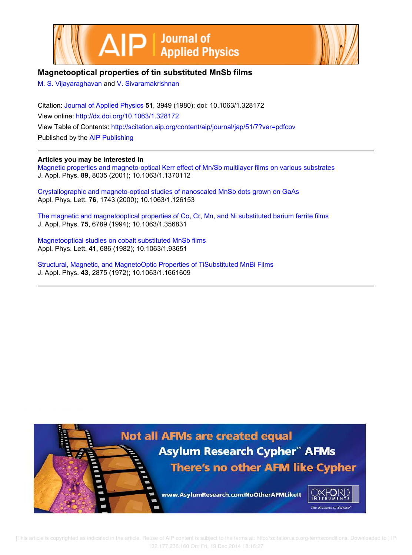



# **Magnetooptical properties of tin substituted MnSb films**

M. S. Vijayaraghavan and V. Sivaramakrishnan

Citation: Journal of Applied Physics **51**, 3949 (1980); doi: 10.1063/1.328172 View online: http://dx.doi.org/10.1063/1.328172 View Table of Contents: http://scitation.aip.org/content/aip/journal/jap/51/7?ver=pdfcov Published by the AIP Publishing

# **Articles you may be interested in**

Magnetic properties and magneto-optical Kerr effect of Mn/Sb multilayer films on various substrates J. Appl. Phys. **89**, 8035 (2001); 10.1063/1.1370112

Crystallographic and magneto-optical studies of nanoscaled MnSb dots grown on GaAs Appl. Phys. Lett. **76**, 1743 (2000); 10.1063/1.126153

The magnetic and magnetooptical properties of Co, Cr, Mn, and Ni substituted barium ferrite films J. Appl. Phys. **75**, 6789 (1994); 10.1063/1.356831

Magnetooptical studies on cobalt substituted MnSb films Appl. Phys. Lett. **41**, 686 (1982); 10.1063/1.93651

Structural, Magnetic, and MagnetoOptic Properties of TiSubstituted MnBi Films J. Appl. Phys. **43**, 2875 (1972); 10.1063/1.1661609

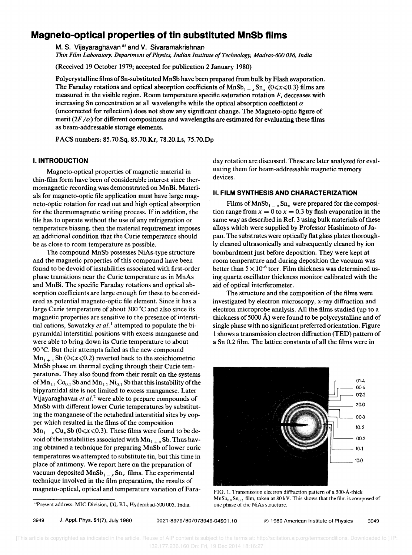# **Magneto-optical properties of tin substituted MnSb films**

M. S. Vijayaraghavan<sup>a)</sup> and V. Sivaramakrishnan *Thin Film Laboratory, Department 0/ Physics, Indian Institute o/Technology, Madras-600 036, India* 

(Received 19 October 1979; accepted for publication 2 January 1980)

Polycrystalline films ofSn-substituted MnSb have been prepared from bulk by Flash evaporation. The Faraday rotations and optical absorption coefficients of MnSb<sub>1</sub>  $\chi$ Sn<sub>x</sub>  $(0 \le x \le 0.3)$  films are measured in the visible region. Room temperature specific saturation rotation  $F$ , decreases with increasing Sn concentration at all wavelengths while the optical absorption coefficient  $\alpha$ (uncorrected for reflection) does not show any significant change. The Magneto-optic figure of merit  $(2F/\alpha)$  for different compositions and wavelengths are estimated for evaluating these films as beam-addressable storage elements.

PACS numbers: 8S.70.Sq, 8S.70.Kr, 78.20.Ls, 7S.70.Dp

#### **I. INTRODUCTION**

Magneto-optical properties of magnetic material in thin-film form have been of considerable interest since thermomagnetic recording was demonstrated on MnBi. Materials for magneto-optic file application must have large magneto-optic rotation for read out and high optical absorption for the thermomagnetic writing process. If in addition, the file has to operate without the use of any refrigeration or temperature biasing, then the material requirement imposes an additional condition that the Curie temperature should be as close to room temperature as possible.

The compound MnSb possesses NiAs-type structure and the magnetic properties of this compound have been found to be devoid of instabilities associated with first-order phase transitions near the Curie temperature as in MnAs and MnBi. The specific Faraday rotations and optical absorption coefficients are large enough for these to be considered as potential magneto-optic file element. Since it has a large Curie temperature of about 300 °C and also since its magnetic properties are sensitive to the presence of interstitial cations, Sawatzky *et al.* I attempted to populate the bipyramidal interstitial positions with excess manganese and were able to bring down its Curie temperature to about 90·C. But their attempts failed as the new compound  $Mn_{1+x}$  Sb (0 $\le x \le 0.2$ ) reverted back to the stoichiometric MnSb phase on thermal cycling through their Curie temperatures. They also found from their result on the systems of  $\text{Mn}_{1,1}$  Co<sub>0.1</sub> Sb and  $\text{Mn}_{1,1}$  Ni<sub>0.1</sub> Sb that this instability of the bipyramidal site is not limited to excess manganese. Later Vijayaraghavan et al.<sup>2</sup> were able to prepare compounds of MnSb with different lower Curie temperatures by substituting the manganese of the octahedral interstitial sites by copper which resulted in the films of the composition  $Mn_{1-x}Cu_xSb$  (0 $\le x \le 0.3$ ). These films were found to be devoid of the instabilities associated with  $Mn_{1+x}$  Sb. Thus having obtained a technique for preparing MnSb of lower curie temperatures we attempted to substitute tin, but this time in place of antimony. We report here on the preparation of vacuum deposited  $MnSb_1$ <sub>x</sub>  $Sn_x$  films. The experimental technique involved in the film preparation, the results of magneto-optical, optical and temperature variation of Faraday rotation are discussed. These are later analyzed for evaluating them for beam-addressable magnetic memory devices.

#### II. **FILM SYNTHESIS AND CHARACTERIZATION**

Films of  $MnSb_1 = x Sn_x$  were prepared for the composition range from  $x = 0$  to  $x = 0.3$  by flash evaporation in the same way as described in Ref. 3 using bulk materials of these alloys which were supplied by Professor Hashimoto of Japan. The substrates were optically flat glass plates thoroughly cleaned ultrasonically and subsequently cleaned by ion bombardment just before deposition. They were kept at room temperature and during deposition the vacuum was better than  $5 \times 10^{-6}$  torr. Film thickness was determined using quartz oscillator thickness monitor calibrated with the aid of optical interferometer.

The structure and the composition of the films were investigated by electron microscopy, x-ray diffraction and electron microprobe analysis. All the films studied (up to a thickness of 5000  $\AA$ ) were found to be polycrystalline and of single phase with no significant preferred orientation. Figure 1 shows a transmission electron diffraction (TED) pattern of a Sn 0.2 film. The lattice constants of all the films were in



FIG. L Transmission electron diffraction pattern of a 500-A-thick  $MnSb_{0.8}Sn_{0.2}$  film, taken at 80 kV. This shows that the film is composed of one phase of the NiAs structure.

3949 J. AppL Phys. 51(7), July 1980 0021-8979/801073949-04\$01.10 © 1980 American Institute of Physics 3949

<sup>&</sup>lt;sup>a)</sup>Present address: MIC Division, DL RL, Hyderabad-500 005, India.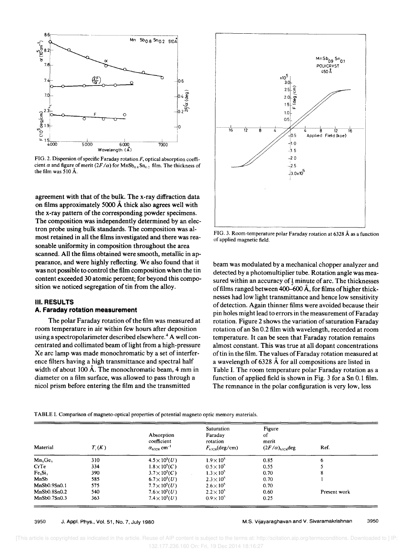

FIG. 2. Dispersion of specific Faraday rotation  $F$ , optical absorption coefficient  $\alpha$  and figure of merit  $(2F/\alpha)$  for  $MnSb_{0.8}Sn_{0.2}$  film. The thickness of the film was 510 A.

agreement with that of the bulk. The x-ray diffraction data on films approximately 5000 A thick also agrees well with the x-ray pattern of the corresponding powder specimens. The composition was independently determined by an electron probe using bulk standards. The composition was almost retained in all the films investigated and there was reasonable uniformity in composition throughout the area scanned. All the films obtained were smooth, metallic in appearance, and were highly reflecting. We also found that it was not possible to control the film composition when the tin content exceeded 30 atomic percent; for beyond this composition we noticed segregation of tin from the alloy.

# III. RESULTS

## A. **Faraday rotation measurement**

The polar Faraday rotation of the film was measured at room temperature in air within few hours after deposition using a spectropolarimeter described elsewhere.<sup>4</sup> A well concentrated and collimated beam of light from a high-pressure Xe arc lamp was made monochromatic by a set of interference filters having a high transmittance and spectral half width of about 100 Å. The monochromatic beam, 4 mm in diameter on a film surface, was allowed to pass through a nicol prism before entering the film and the transmitted



FIG. 3. Room-temperature polar Faraday rotation at 6328 A as a function of applied magnetic field.

beam was modulated by a mechanical chopper analyzer and detected by a photomultiplier tube. Rotation angle was measured within an accuracy of  $\frac{1}{2}$  minute of arc. The thicknesses of films ranged between 400–600  $\AA$ , for films of higher thicknesses had low light transmittance and hence low sensitivity of detection. Again thinner films were avoided because their pin holes might lead to errors in the measurement of Faraday rotation. Figure 2 shows the variation of saturation Faraday rotation of an Sn 0.2 film with wavelength, recorded at room temperature. It can be seen that Faraday rotation remains almost constant. This was true at all dopant concentrations of tin in the film. The values of Faraday rotation measured at a wavelength of 6328 A for all compositions are listed in Table I. The room temperature polar Faraday rotation as a function of applied field is shown in Fig. 3 for a Sn 0.1 film. The remnance in the polar configuration is very low, less

TABLE 1. Comparison of magneto-optical properties of potential magneto optic memory materials.

| Material         | $T_c(K)$ | Absorption<br>coefficient<br>$\alpha_{6328}$ cm <sup>-1</sup> | <b>Saturation</b><br>Faraday<br>rotation<br>$F_{6328}$ (deg/cm) | Figure<br>of<br>merit<br>$(2F/\alpha)_{6328}$ deg | Ref.         |
|------------------|----------|---------------------------------------------------------------|-----------------------------------------------------------------|---------------------------------------------------|--------------|
| $Mn_5Ge_3$       | 310      | $4.5 \times 10^{5}(U)$                                        | $1.9 \times 10^{5}$                                             | 0.85                                              | 6            |
| CrTe             | 334      | $1.8 \times 10^5$ (C)                                         | $0.5 \times 10^{5}$                                             | 0.55                                              |              |
| Fe <sub>51</sub> | 390      | $3.7 \times 10^{5}$ (C)                                       | $1.3 \times 10^{5}$                                             | 0.70                                              | 8            |
| MnSb             | 585      | $6.7 \times 10^{5}$ ( <i>U</i> )                              | $2.3\times10^{5}$                                               | 0.70                                              |              |
| MnSb0.9Sn0.1     | 575      | $7.7 \times 10^5 (U)$                                         | $2.6 \times 10^{5}$                                             | 0.70                                              |              |
| MnSb0.8Sn0.2     | 540      | $7.6 \times 10^{5}(U)$                                        | $2.2 \times 10^{5}$                                             | 0.60                                              | Present work |
| MnSb0.7Sn0.3     | 363      | $7.4 \times 10^5 (U)$                                         | $0.9\times10^{5}$                                               | 0.25                                              |              |

3950 J. Appl. Phys., Vol. 51, No.7, July 1980

M.S. Vijayaraghavan and V. Sivaramakrishnan 3950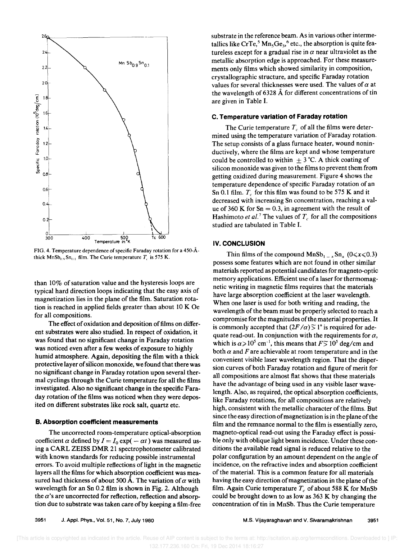

FIG. 4. Temperature dependence of specific Faraday rotation for a 450-Athick  $MnSb_{0.9}Sn_{0.1}$  film. The Curie temperature  $T_c$  is 575 K.

than 10% of saturation value and the hysteresis loops are typical hard direction loops indicating that the easy axis of magnetization lies in the plane of the film. Saturation rotation is reached in applied fields greater than about 10 K Oe for all compositions.

The effect of oxidation and deposition of films on different substrates were also studied. In respect of oxidation, it was found that no significant change in Faraday rotation was noticed even after a few weeks of exposure to highly humid atmosphere. Again, depositing the film with a thick protective layer of silicon monoxide, we found that there was no significant change in Faraday rotation upon several thermal cyclings through the Curie temperature for all the films investigated. Also no significant change in the specific Faraday rotation of the films was noticed when they were deposited on different substrates like rock salt, quartz etc.

#### B. Absorption coefficient measurements

The uncorrected room-temperature optical-absorption coefficient  $\alpha$  defined by  $I = I_0 \exp(-\alpha t)$  was measured using a CARL ZEISS DMR 21 spectrophotometer calibrated with known standards for reducing possible instrumental errors. To avoid multiple reflections of light in the magnetic layers all the films for which absorption coefficient was measured had thickness of about 500 Å. The variation of  $\alpha$  with wavelength for an Sn 0.2 film is shown in Fig. 2. Although the  $\alpha$ 's are uncorrected for reflection, reflection and absorption due to substrate was taken care of by keeping a film-free substrate in the reference beam. As in various other intermetallics like CrTe,<sup>5</sup>  $\text{Mn}_5\text{Ge}_3$ ,<sup>6</sup> etc., the absorption is quite featureless except for a gradual rise in  $\alpha$  near ultraviolet as the metallic absorption edge is approached. For these measurements only films which showed similarity in composition, crystallographic structure, and specific Faraday rotation values for several thicknesses were used. The values of *a* at the wavelength of 6328 A for different concentrations of tin are given in Table I.

#### C. Temperature variation of Faraday rotation

The Curie temperature  $T_c$  of all the films were determined using the temperature variation of Faraday rotation. The setup consists of a glass furnace heater, wound noninductively, where the films are kept and whose temperature could be controlled to within  $\pm$  3 °C. A thick coating of silicon monoxide was given to the films to prevent them from getting oxidized during measurement. Figure 4 shows the temperature dependence of specific Faraday rotation of an Sn 0.1 film.  $T_c$  for this film was found to be 575 K and it decreased with increasing Sn concentration, reaching a value of 360 K for  $Sn = 0.3$ , in agreement with the result of Hashimoto *et al.*<sup>7</sup> The values of  $T_c$  for all the compositions studied are tabulated in Table I.

## IV. CONCLUSION

Thin films of the compound  $MnSb_{1-x}Sn_x$  *(0* $\le x \le 0.3$ *)* possess some features which are not found in other similar materials reported as potential candidates for magneto-optic memory applications. Efficient use of a laser for thermomagnetic writing in magnetic films requires that the materials have large absorption coefficient at the laser wavelength. When one laser is used for both writing and reading, the wavelength of the beam must be properly selected to reach a compromise for the magnitudes of the material properties. It is commonly accepted that  $(2F/\alpha)$ <sup> $\leq$ </sup> 1° is required for adequate read-out. In conjunction with the requirements for  $\alpha$ , which is  $\alpha \ge 10^5$  cm<sup>-1</sup>, this means that  $F \le 10^5$  deg/cm and both  $\alpha$  and  $F$  are achievable at room temperature and in the convenient visible laser wavelength region. That the dispersion curves of both Faraday rotation and figure of merit for all compositions are almost flat shows that these materials have the advantage of being used in any visible laser wavelength. Also, as required, the optical absorption coefficients, like Faraday rotations, for all compositions are relatively high, consistent with the metallic character of the films. But since the easy direction of magnetization is in the plane of the film and the remnance normal to the film is essentially zero, magneto-optical read-out using the Faraday effect is possible only with oblique light beam incidence. Under these conditions the available read signal is reduced relative to the polar configuration by an amount dependent on the angle of incidence, on the refractive index and absorption coefficient of the material. This is a common feature for all materials having the easy direction of magnetization in the plane of the film. Again Curie temperature  $T_c$  of about 588 K for MnSb could be brought down to as low as  $363 \text{ K}$  by changing the concentration of tin in MnSb. Thus the Curie temperature